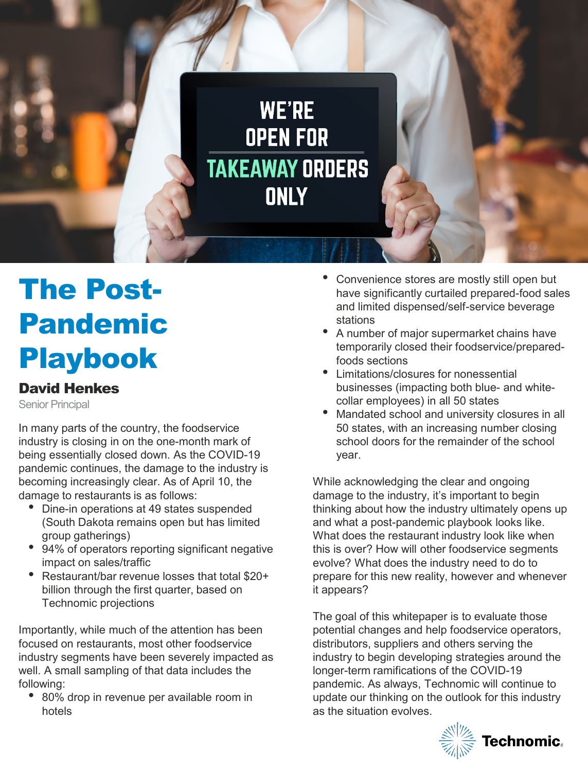

# The Post-Pandemic Playbook

### David Henkes

Senior Principal

In many parts of the country, the foodservice industry is closing in on the one-month mark of being essentially closed down. As the COVID-19 pandemic continues, the damage to the industry is becoming increasingly clear. As of April 10, the damage to restaurants is as follows:

- Dine-in operations at 49 states suspended (South Dakota remains open but has limited group gatherings)
- 94% of operators reporting significant negative impact on sales/traffic
- Restaurant/bar revenue losses that total \$20+ billion through the first quarter, based on Technomic projections

Importantly, while much of the attention has been focused on restaurants, most other foodservice industry segments have been severely impacted as well. A small sampling of that data includes the following:

• 80% drop in revenue per available room in hotels

- Convenience stores are mostly still open but have significantly curtailed prepared-food sales and limited dispensed/self-service beverage stations
- A number of major supermarket chains have temporarily closed their foodservice/preparedfoods sections
- Limitations/closures for nonessential businesses (impacting both blue- and whitecollar employees) in all 50 states
- Mandated school and university closures in all 50 states, with an increasing number closing school doors for the remainder of the school year.

While acknowledging the clear and ongoing damage to the industry, it's important to begin thinking about how the industry ultimately opens up and what a post-pandemic playbook looks like. What does the restaurant industry look like when this is over? How will other foodservice segments evolve? What does the industry need to do to prepare for this new reality, however and whenever it appears?

The goal of this whitepaper is to evaluate those potential changes and help foodservice operators, distributors, suppliers and others serving the industry to begin developing strategies around the longer-term ramifications of the COVID-19 pandemic. As always, Technomic will continue to update our thinking on the outlook for this industry as the situation evolves.



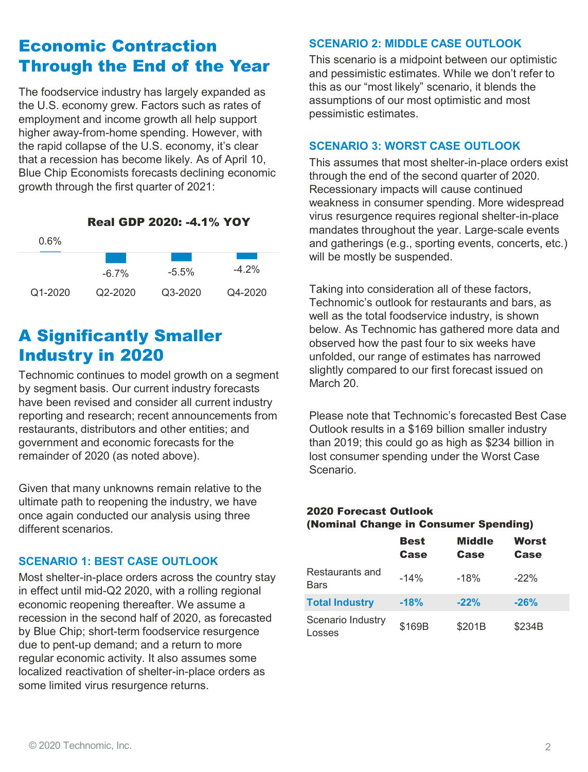## Economic Contraction Through the End of the Year

The foodservice industry has largely expanded as the U.S. economy grew. Factors such as rates of employment and income growth all help support higher away-from-home spending. However, with the rapid collapse of the U.S. economy, it's clear that a recession has become likely. As of April 10, Blue Chip Economists forecasts declining economic growth through the first quarter of 2021:

Real GDP 2020: -4.1% YOY

| $0.6\%$     |             |         |          |
|-------------|-------------|---------|----------|
|             | $-6.7\%$    | $-5.5%$ | $-4.2\%$ |
| $Q1 - 2020$ | $Q2 - 2020$ | Q3-2020 | Q4-2020  |

# A Significantly Smaller Industry in 2020

Technomic continues to model growth on a segment by segment basis. Our current industry forecasts have been revised and consider all current industry reporting and research; recent announcements from restaurants, distributors and other entities; and government and economic forecasts for the remainder of 2020 (as noted above).

Given that many unknowns remain relative to the ultimate path to reopening the industry, we have once again conducted our analysis using three different scenarios.

### **SCENARIO 1: BEST CASE OUTLOOK**

Most shelter-in-place orders across the country stay in effect until mid-Q2 2020, with a rolling regional economic reopening thereafter. We assume a recession in the second half of 2020, as forecasted by Blue Chip; short-term foodservice resurgence due to pent-up demand; and a return to more regular economic activity. It also assumes some localized reactivation of shelter-in-place orders as some limited virus resurgence returns.

#### **SCENARIO 2: MIDDLE CASE OUTLOOK**

This scenario is a midpoint between our optimistic and pessimistic estimates. While we don't refer to this as our "most likely" scenario, it blends the assumptions of our most optimistic and most pessimistic estimates.

#### **SCENARIO 3: WORST CASE OUTLOOK**

This assumes that most shelter-in-place orders exist through the end of the second quarter of 2020. Recessionary impacts will cause continued weakness in consumer spending. More widespread virus resurgence requires regional shelter-in-place mandates throughout the year. Large-scale events and gatherings (e.g., sporting events, concerts, etc.) will be mostly be suspended.

Taking into consideration all of these factors, Technomic's outlook for restaurants and bars, as well as the total foodservice industry, is shown below. As Technomic has gathered more data and observed how the past four to six weeks have unfolded, our range of estimates has narrowed slightly compared to our first forecast issued on March 20.

Please note that Technomic's forecasted Best Case Outlook results in a \$169 billion smaller industry than 2019; this could go as high as \$234 billion in lost consumer spending under the Worst Case Scenario.

#### 2020 Forecast Outlook (Nominal Change in Consumer Spending)

|                             | <b>Best</b><br>Case | <b>Middle</b><br>Case | Worst<br>Case |  |
|-----------------------------|---------------------|-----------------------|---------------|--|
| Restaurants and<br>Bars     | $-14%$              | $-18%$                | $-22%$        |  |
| <b>Total Industry</b>       | $-18%$              | $-22%$                | $-26%$        |  |
| Scenario Industry<br>Losses | \$169B              | \$201B                | \$234B        |  |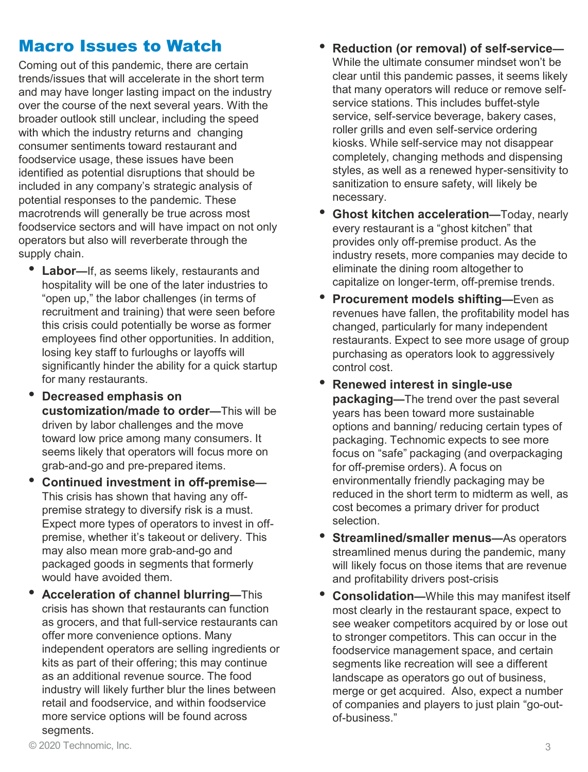## Macro Issues to Watch

Coming out of this pandemic, there are certain trends/issues that will accelerate in the short term and may have longer lasting impact on the industry over the course of the next several years. With the broader outlook still unclear, including the speed with which the industry returns and changing consumer sentiments toward restaurant and foodservice usage, these issues have been identified as potential disruptions that should be included in any company's strategic analysis of potential responses to the pandemic. These macrotrends will generally be true across most foodservice sectors and will have impact on not only operators but also will reverberate through the supply chain.

- **Labor—**If, as seems likely, restaurants and hospitality will be one of the later industries to "open up," the labor challenges (in terms of recruitment and training) that were seen before this crisis could potentially be worse as former employees find other opportunities. In addition, losing key staff to furloughs or layoffs will significantly hinder the ability for a quick startup for many restaurants.
- **Decreased emphasis on customization/made to order—**This will be driven by labor challenges and the move toward low price among many consumers. It seems likely that operators will focus more on grab-and-go and pre-prepared items.
- **Continued investment in off-premise—** This crisis has shown that having any offpremise strategy to diversify risk is a must. Expect more types of operators to invest in offpremise, whether it's takeout or delivery. This may also mean more grab-and-go and packaged goods in segments that formerly would have avoided them.
- **Acceleration of channel blurring—**This crisis has shown that restaurants can function as grocers, and that full-service restaurants can offer more convenience options. Many independent operators are selling ingredients or kits as part of their offering; this may continue as an additional revenue source. The food industry will likely further blur the lines between retail and foodservice, and within foodservice more service options will be found across segments.
- **Reduction (or removal) of self-service—** While the ultimate consumer mindset won't be clear until this pandemic passes, it seems likely that many operators will reduce or remove selfservice stations. This includes buffet-style service, self-service beverage, bakery cases, roller grills and even self-service ordering kiosks. While self-service may not disappear completely, changing methods and dispensing styles, as well as a renewed hyper-sensitivity to sanitization to ensure safety, will likely be necessary.
- **Ghost kitchen acceleration—**Today, nearly every restaurant is a "ghost kitchen" that provides only off-premise product. As the industry resets, more companies may decide to eliminate the dining room altogether to capitalize on longer-term, off-premise trends.
- **Procurement models shifting—**Even as revenues have fallen, the profitability model has changed, particularly for many independent restaurants. Expect to see more usage of group purchasing as operators look to aggressively control cost.
- **Renewed interest in single-use packaging—**The trend over the past several years has been toward more sustainable options and banning/ reducing certain types of packaging. Technomic expects to see more focus on "safe" packaging (and overpackaging for off-premise orders). A focus on environmentally friendly packaging may be reduced in the short term to midterm as well, as cost becomes a primary driver for product selection.
- **Streamlined/smaller menus—As operators** streamlined menus during the pandemic, many will likely focus on those items that are revenue and profitability drivers post-crisis
- **Consolidation—**While this may manifest itself most clearly in the restaurant space, expect to see weaker competitors acquired by or lose out to stronger competitors. This can occur in the foodservice management space, and certain segments like recreation will see a different landscape as operators go out of business, merge or get acquired. Also, expect a number of companies and players to just plain "go-outof-business."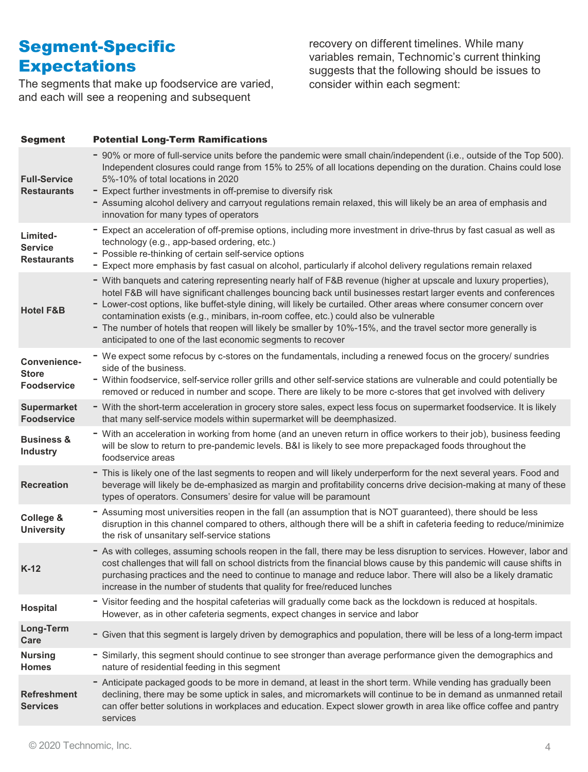# Segment-Specific **Expectations**

The segments that make up foodservice are varied, and each will see a reopening and subsequent

recovery on different timelines. While many variables remain, Technomic's current thinking suggests that the following should be issues to consider within each segment:

| <b>Segment</b>                                     | <b>Potential Long-Term Ramifications</b>                                                                                                                                                                                                                                                                                                                                                                                                                                                                                                                                                                                        |
|----------------------------------------------------|---------------------------------------------------------------------------------------------------------------------------------------------------------------------------------------------------------------------------------------------------------------------------------------------------------------------------------------------------------------------------------------------------------------------------------------------------------------------------------------------------------------------------------------------------------------------------------------------------------------------------------|
| <b>Full-Service</b><br><b>Restaurants</b>          | - 90% or more of full-service units before the pandemic were small chain/independent (i.e., outside of the Top 500).<br>Independent closures could range from 15% to 25% of all locations depending on the duration. Chains could lose<br>5%-10% of total locations in 2020<br>- Expect further investments in off-premise to diversify risk<br>- Assuming alcohol delivery and carryout regulations remain relaxed, this will likely be an area of emphasis and<br>innovation for many types of operators                                                                                                                      |
| Limited-<br><b>Service</b><br><b>Restaurants</b>   | - Expect an acceleration of off-premise options, including more investment in drive-thrus by fast casual as well as<br>technology (e.g., app-based ordering, etc.)<br>- Possible re-thinking of certain self-service options<br>- Expect more emphasis by fast casual on alcohol, particularly if alcohol delivery regulations remain relaxed                                                                                                                                                                                                                                                                                   |
| <b>Hotel F&amp;B</b>                               | - With banquets and catering representing nearly half of F&B revenue (higher at upscale and luxury properties),<br>hotel F&B will have significant challenges bouncing back until businesses restart larger events and conferences<br>- Lower-cost options, like buffet-style dining, will likely be curtailed. Other areas where consumer concern over<br>contamination exists (e.g., minibars, in-room coffee, etc.) could also be vulnerable<br>- The number of hotels that reopen will likely be smaller by 10%-15%, and the travel sector more generally is<br>anticipated to one of the last economic segments to recover |
| Convenience-<br><b>Store</b><br><b>Foodservice</b> | - We expect some refocus by c-stores on the fundamentals, including a renewed focus on the grocery/ sundries<br>side of the business.<br>- Within foodservice, self-service roller grills and other self-service stations are vulnerable and could potentially be<br>removed or reduced in number and scope. There are likely to be more c-stores that get involved with delivery                                                                                                                                                                                                                                               |
| <b>Supermarket</b><br><b>Foodservice</b>           | - With the short-term acceleration in grocery store sales, expect less focus on supermarket foodservice. It is likely<br>that many self-service models within supermarket will be deemphasized.                                                                                                                                                                                                                                                                                                                                                                                                                                 |
| <b>Business &amp;</b><br><b>Industry</b>           | - With an acceleration in working from home (and an uneven return in office workers to their job), business feeding<br>will be slow to return to pre-pandemic levels. B&I is likely to see more prepackaged foods throughout the<br>foodservice areas                                                                                                                                                                                                                                                                                                                                                                           |
| <b>Recreation</b>                                  | - This is likely one of the last segments to reopen and will likely underperform for the next several years. Food and<br>beverage will likely be de-emphasized as margin and profitability concerns drive decision-making at many of these<br>types of operators. Consumers' desire for value will be paramount                                                                                                                                                                                                                                                                                                                 |
| College &<br><b>University</b>                     | - Assuming most universities reopen in the fall (an assumption that is NOT guaranteed), there should be less<br>disruption in this channel compared to others, although there will be a shift in cafeteria feeding to reduce/minimize<br>the risk of unsanitary self-service stations                                                                                                                                                                                                                                                                                                                                           |
| $K-12$                                             | - As with colleges, assuming schools reopen in the fall, there may be less disruption to services. However, labor and<br>cost challenges that will fall on school districts from the financial blows cause by this pandemic will cause shifts in<br>purchasing practices and the need to continue to manage and reduce labor. There will also be a likely dramatic<br>increase in the number of students that quality for free/reduced lunches                                                                                                                                                                                  |
| Hospital                                           | - Visitor feeding and the hospital cafeterias will gradually come back as the lockdown is reduced at hospitals.<br>However, as in other cafeteria segments, expect changes in service and labor                                                                                                                                                                                                                                                                                                                                                                                                                                 |
| Long-Term<br>Care                                  | - Given that this segment is largely driven by demographics and population, there will be less of a long-term impact                                                                                                                                                                                                                                                                                                                                                                                                                                                                                                            |
| <b>Nursing</b><br><b>Homes</b>                     | - Similarly, this segment should continue to see stronger than average performance given the demographics and<br>nature of residential feeding in this segment                                                                                                                                                                                                                                                                                                                                                                                                                                                                  |
| <b>Refreshment</b><br><b>Services</b>              | - Anticipate packaged goods to be more in demand, at least in the short term. While vending has gradually been<br>declining, there may be some uptick in sales, and micromarkets will continue to be in demand as unmanned retail<br>can offer better solutions in workplaces and education. Expect slower growth in area like office coffee and pantry<br>services                                                                                                                                                                                                                                                             |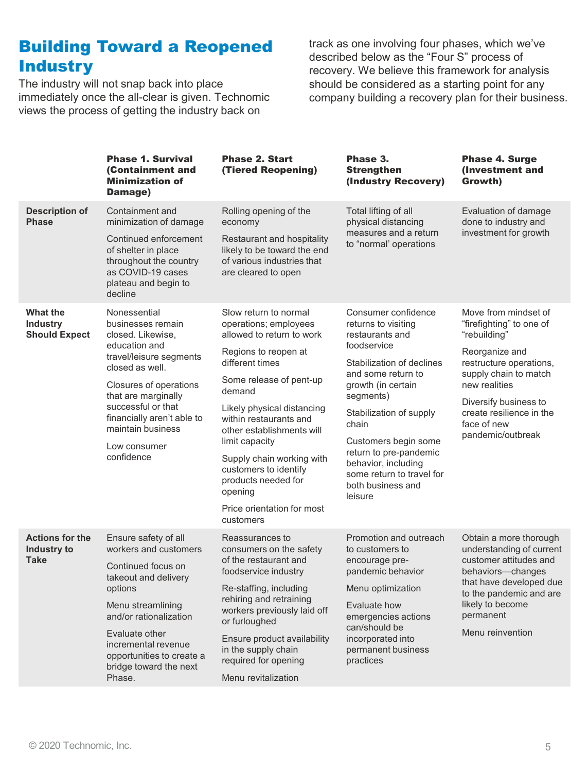# Building Toward a Reopened **Industry**

The industry will not snap back into place immediately once the all-clear is given. Technomic views the process of getting the industry back on

track as one involving four phases, which we've described below as the "Four S" process of recovery. We believe this framework for analysis should be considered as a starting point for any company building a recovery plan for their business.

|                                                      | <b>Phase 1. Survival</b><br>(Containment and<br><b>Minimization of</b><br>Damage)                                                                                                                                                                                             | <b>Phase 2. Start</b><br>(Tiered Reopening)                                                                                                                                                                                                                                                                                                                                                           | Phase 3.<br><b>Strengthen</b><br>(Industry Recovery)                                                                                                                                                                                                                                                                                         | <b>Phase 4. Surge</b><br>(Investment and<br>Growth)                                                                                                                                                                                              |
|------------------------------------------------------|-------------------------------------------------------------------------------------------------------------------------------------------------------------------------------------------------------------------------------------------------------------------------------|-------------------------------------------------------------------------------------------------------------------------------------------------------------------------------------------------------------------------------------------------------------------------------------------------------------------------------------------------------------------------------------------------------|----------------------------------------------------------------------------------------------------------------------------------------------------------------------------------------------------------------------------------------------------------------------------------------------------------------------------------------------|--------------------------------------------------------------------------------------------------------------------------------------------------------------------------------------------------------------------------------------------------|
| <b>Description of</b><br><b>Phase</b>                | Containment and<br>minimization of damage<br>Continued enforcement<br>of shelter in place<br>throughout the country<br>as COVID-19 cases<br>plateau and begin to<br>decline                                                                                                   | Rolling opening of the<br>economy<br>Restaurant and hospitality<br>likely to be toward the end<br>of various industries that<br>are cleared to open                                                                                                                                                                                                                                                   | Total lifting of all<br>physical distancing<br>measures and a return<br>to "normal' operations                                                                                                                                                                                                                                               | Evaluation of damage<br>done to industry and<br>investment for growth                                                                                                                                                                            |
| What the<br><b>Industry</b><br><b>Should Expect</b>  | Nonessential<br>businesses remain<br>closed. Likewise,<br>education and<br>travel/leisure segments<br>closed as well.<br>Closures of operations<br>that are marginally<br>successful or that<br>financially aren't able to<br>maintain business<br>Low consumer<br>confidence | Slow return to normal<br>operations; employees<br>allowed to return to work<br>Regions to reopen at<br>different times<br>Some release of pent-up<br>demand<br>Likely physical distancing<br>within restaurants and<br>other establishments will<br>limit capacity<br>Supply chain working with<br>customers to identify<br>products needed for<br>opening<br>Price orientation for most<br>customers | Consumer confidence<br>returns to visiting<br>restaurants and<br>foodservice<br>Stabilization of declines<br>and some return to<br>growth (in certain<br>segments)<br>Stabilization of supply<br>chain<br>Customers begin some<br>return to pre-pandemic<br>behavior, including<br>some return to travel for<br>both business and<br>leisure | Move from mindset of<br>"firefighting" to one of<br>"rebuilding"<br>Reorganize and<br>restructure operations,<br>supply chain to match<br>new realities<br>Diversify business to<br>create resilience in the<br>face of new<br>pandemic/outbreak |
| <b>Actions for the</b><br>Industry to<br><b>Take</b> | Ensure safety of all<br>workers and customers<br>Continued focus on<br>takeout and delivery<br>options<br>Menu streamlining<br>and/or rationalization<br>Evaluate other<br>incremental revenue<br>opportunities to create a<br>bridge toward the next<br>Phase.               | Reassurances to<br>consumers on the safety<br>of the restaurant and<br>foodservice industry<br>Re-staffing, including<br>rehiring and retraining<br>workers previously laid off<br>or furloughed<br>Ensure product availability<br>in the supply chain<br>required for opening<br>Menu revitalization                                                                                                 | Promotion and outreach<br>to customers to<br>encourage pre-<br>pandemic behavior<br>Menu optimization<br>Evaluate how<br>emergencies actions<br>can/should be<br>incorporated into<br>permanent business<br>practices                                                                                                                        | Obtain a more thorough<br>understanding of current<br>customer attitudes and<br>behaviors-changes<br>that have developed due<br>to the pandemic and are<br>likely to become<br>permanent<br>Menu reinvention                                     |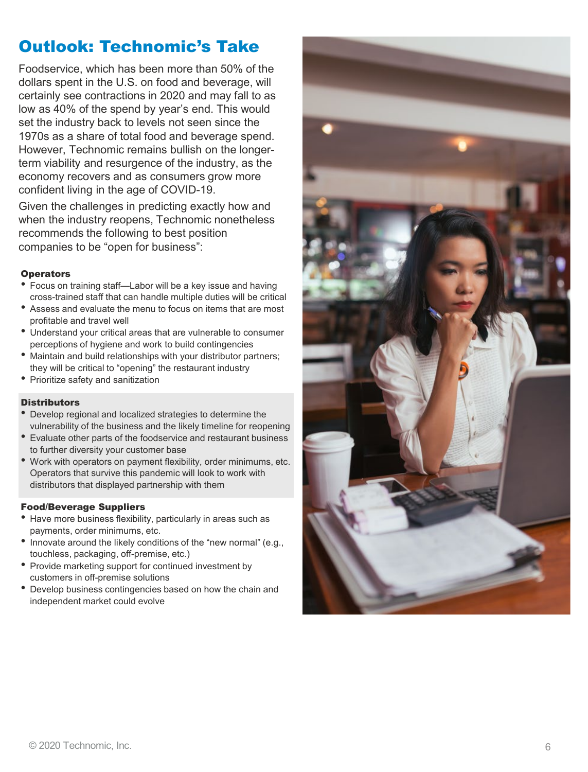# Outlook: Technomic's Take

Foodservice, which has been more than 50% of the dollars spent in the U.S. on food and beverage, will certainly see contractions in 2020 and may fall to as low as 40% of the spend by year's end. This would set the industry back to levels not seen since the 1970s as a share of total food and beverage spend. However, Technomic remains bullish on the longer term viability and resurgence of the industry, as the economy recovers and as consumers grow more confident living in the age of COVID -19.

Given the challenges in predicting exactly how and when the industry reopens, Technomic nonetheless recommends the following to best position companies to be "open for business":

- **Operators**<br>• Focus on training staff—Labor will be a key issue and having cross -trained staff that can handle multiple duties will be critical
- Assess and evaluate the menu to focus on items that are most profitable and travel well
- Understand your critical areas that are vulnerable to consumer perceptions of hygiene and work to build contingencies
- Maintain and build relationships with your distributor partners; they will be critical to "opening" the restaurant industry
- Prioritize safety and sanitization

- **Distributors**<br>• Develop regional and localized strategies to determine the vulnerability of the business and the likely timeline for reopening
- Evaluate other parts of the foodservice and restaurant business to further diversity your customer base
- Work with operators on payment flexibility, order minimums, etc. Operators that survive this pandemic will look to work with distributors that displayed partnership with them

- Food/Beverage Suppliers<br>• Have more business flexibility, particularly in areas such as payments, order minimums, etc.
- Innovate around the likely conditions of the "new normal" (e.g., touchless, packaging, off-premise, etc.)
- Provide marketing support for continued investment by customers in off-premise solutions
- Develop business contingencies based on how the chain and independent market could evolve